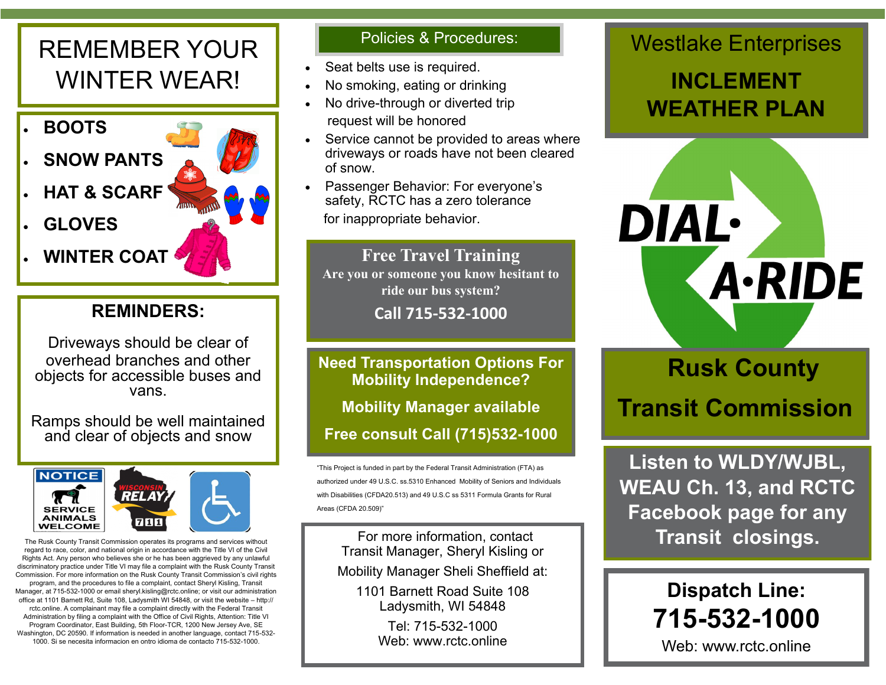## REMEMBER YOUR WINTER WEAR!



#### **REMINDERS:**

Driveways should be clear of overhead branches and other objects for accessible buses and vans.

Ramps should be well maintained and clear of objects and snow



regard to race, color, and national origin in accordance with the Title VI of the Civil Rights Act. Any person who believes she or he has been aggrieved by any unlawful discriminatory practice under Title VI may file a complaint with the Rusk County Transit Commission. For more information on the Rusk County Transit Commission's civil rights program, and the procedures to file a complaint, contact Sheryl Kisling, Transit Manager, at 715-532-1000 or email sheryl.kisling@rctc.online; or visit our administration office at 1101 Barnett Rd, Suite 108, Ladysmith WI 54848, or visit the website – http:// rctc.online. A complainant may file a complaint directly with the Federal Transit Administration by filing a complaint with the Office of Civil Rights, Attention: Title VI Program Coordinator, East Building, 5th Floor-TCR, 1200 New Jersey Ave, SE Washington, DC 20590. If information is needed in another language, contact 715-532- 1000. Si se necesita informacion en ontro idioma de contacto 715-532-1000.

#### Policies & Procedures:

- Seat belts use is required.
- No smoking, eating or drinking
- No drive-through or diverted trip request will be honored
- Service cannot be provided to areas where driveways or roads have not been cleared of snow.
- Passenger Behavior: For everyone's safety, RCTC has a zero tolerance for inappropriate behavior.

#### **Free Travel Training**

**Are you or someone you know hesitant to ride our bus system?**

**Call 715-532-1000** 

**Need Transportation Options For Mobility Independence?**

**Mobility Manager available**

**Free consult Call (715)532-1000**

"This Project is funded in part by the Federal Transit Administration (FTA) as authorized under 49 U.S.C. ss.5310 Enhanced Mobility of Seniors and Individuals with Disabilities (CFDA20.513) and 49 U.S.C ss 5311 Formula Grants for Rural Areas (CFDA 20.509)"

For more information, contact Transit Manager, Sheryl Kisling or

Mobility Manager Sheli Sheffield at:

1101 Barnett Road Suite 108 Ladysmith, WI 54848

> Tel: 715-532-1000 Web: www.rctc.online

## Westlake Enterprises

## **INCLEMENT WEATHER PLAN**



# **Rusk County Transit Commission**

**Listen to WLDY/WJBL, WEAU Ch. 13, and RCTC Facebook page for any**  The Rusk County Transit Commission operates its programs and services without **The Rusk County Transit Closings.** 

# **Dispatch Line: 715-532-1000**

Web: www.rctc.online